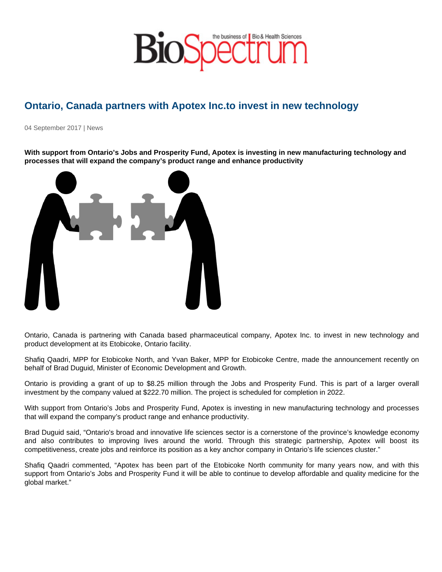## Ontario, Canada partners with Apotex Inc.to invest in new technology

04 September 2017 | News

With support from Ontario's Jobs and Prosperity Fund, Apotex is investing in new manufacturing technology and processes that will expand the company's product range and enhance productivity

Ontario, Canada is partnering with Canada based pharmaceutical company, Apotex Inc. to invest in new technology and product development at its Etobicoke, Ontario facility.

Shafiq Qaadri, MPP for Etobicoke North, and Yvan Baker, MPP for Etobicoke Centre, made the announcement recently on behalf of Brad Duguid, Minister of Economic Development and Growth.

Ontario is providing a grant of up to \$8.25 million through the Jobs and Prosperity Fund. This is part of a larger overall investment by the company valued at \$222.70 million. The project is scheduled for completion in 2022.

With support from Ontario's Jobs and Prosperity Fund, Apotex is investing in new manufacturing technology and processes that will expand the company's product range and enhance productivity.

Brad Duguid said, "Ontario's broad and innovative life sciences sector is a cornerstone of the province's knowledge economy and also contributes to improving lives around the world. Through this strategic partnership, Apotex will boost its competitiveness, create jobs and reinforce its position as a key anchor company in Ontario's life sciences cluster."

Shafiq Qaadri commented, "Apotex has been part of the Etobicoke North community for many years now, and with this support from Ontario's Jobs and Prosperity Fund it will be able to continue to develop affordable and quality medicine for the global market."